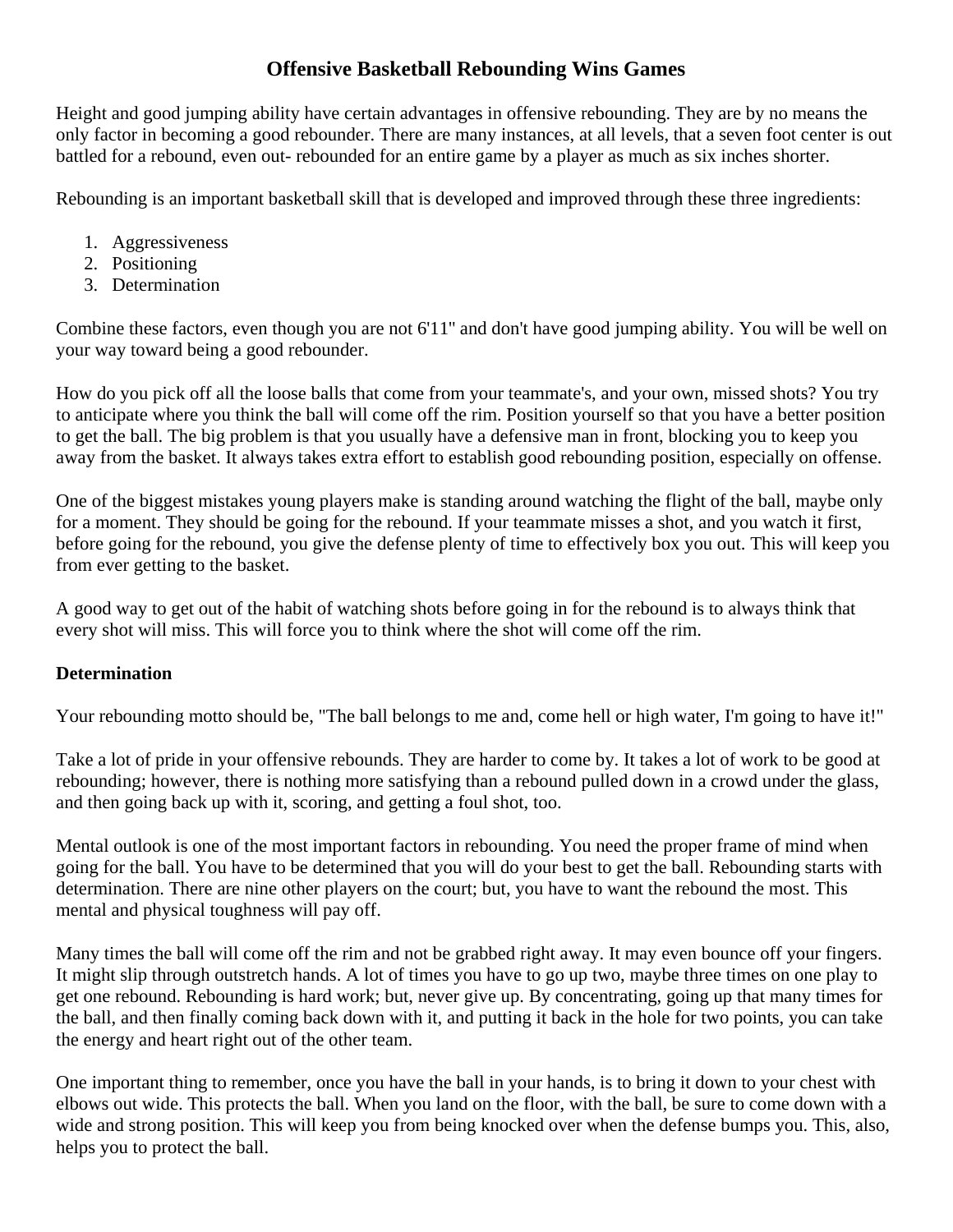# **Offensive Basketball Rebounding Wins Games**

Height and good jumping ability have certain advantages in offensive rebounding. They are by no means the only factor in becoming a good rebounder. There are many instances, at all levels, that a seven foot center is out battled for a rebound, even out- rebounded for an entire game by a player as much as six inches shorter.

Rebounding is an important basketball skill that is developed and improved through these three ingredients:

- 1. Aggressiveness
- 2. Positioning
- 3. Determination

Combine these factors, even though you are not 6'11'' and don't have good jumping ability. You will be well on your way toward being a good rebounder.

How do you pick off all the loose balls that come from your teammate's, and your own, missed shots? You try to anticipate where you think the ball will come off the rim. Position yourself so that you have a better position to get the ball. The big problem is that you usually have a defensive man in front, blocking you to keep you away from the basket. It always takes extra effort to establish good rebounding position, especially on offense.

One of the biggest mistakes young players make is standing around watching the flight of the ball, maybe only for a moment. They should be going for the rebound. If your teammate misses a shot, and you watch it first, before going for the rebound, you give the defense plenty of time to effectively box you out. This will keep you from ever getting to the basket.

A good way to get out of the habit of watching shots before going in for the rebound is to always think that every shot will miss. This will force you to think where the shot will come off the rim.

#### **Determination**

Your rebounding motto should be, "The ball belongs to me and, come hell or high water, I'm going to have it!"

Take a lot of pride in your offensive rebounds. They are harder to come by. It takes a lot of work to be good at rebounding; however, there is nothing more satisfying than a rebound pulled down in a crowd under the glass, and then going back up with it, scoring, and getting a foul shot, too.

Mental outlook is one of the most important factors in rebounding. You need the proper frame of mind when going for the ball. You have to be determined that you will do your best to get the ball. Rebounding starts with determination. There are nine other players on the court; but, you have to want the rebound the most. This mental and physical toughness will pay off.

Many times the ball will come off the rim and not be grabbed right away. It may even bounce off your fingers. It might slip through outstretch hands. A lot of times you have to go up two, maybe three times on one play to get one rebound. Rebounding is hard work; but, never give up. By concentrating, going up that many times for the ball, and then finally coming back down with it, and putting it back in the hole for two points, you can take the energy and heart right out of the other team.

One important thing to remember, once you have the ball in your hands, is to bring it down to your chest with elbows out wide. This protects the ball. When you land on the floor, with the ball, be sure to come down with a wide and strong position. This will keep you from being knocked over when the defense bumps you. This, also, helps you to protect the ball.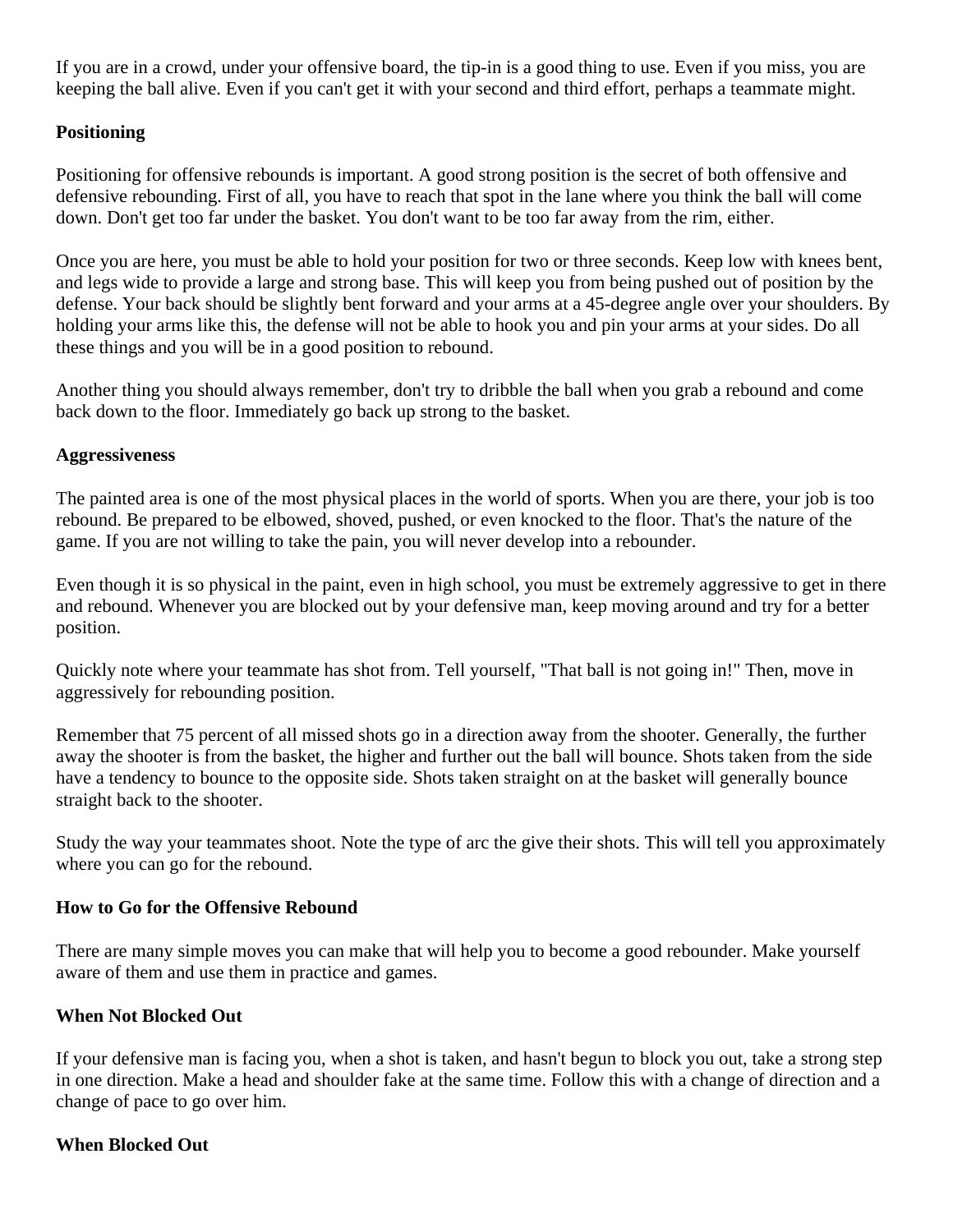If you are in a crowd, under your offensive board, the tip-in is a good thing to use. Even if you miss, you are keeping the ball alive. Even if you can't get it with your second and third effort, perhaps a teammate might.

#### **Positioning**

Positioning for offensive rebounds is important. A good strong position is the secret of both offensive and defensive rebounding. First of all, you have to reach that spot in the lane where you think the ball will come down. Don't get too far under the basket. You don't want to be too far away from the rim, either.

Once you are here, you must be able to hold your position for two or three seconds. Keep low with knees bent, and legs wide to provide a large and strong base. This will keep you from being pushed out of position by the defense. Your back should be slightly bent forward and your arms at a 45-degree angle over your shoulders. By holding your arms like this, the defense will not be able to hook you and pin your arms at your sides. Do all these things and you will be in a good position to rebound.

Another thing you should always remember, don't try to dribble the ball when you grab a rebound and come back down to the floor. Immediately go back up strong to the basket.

#### **Aggressiveness**

The painted area is one of the most physical places in the world of sports. When you are there, your job is too rebound. Be prepared to be elbowed, shoved, pushed, or even knocked to the floor. That's the nature of the game. If you are not willing to take the pain, you will never develop into a rebounder.

Even though it is so physical in the paint, even in high school, you must be extremely aggressive to get in there and rebound. Whenever you are blocked out by your defensive man, keep moving around and try for a better position.

Quickly note where your teammate has shot from. Tell yourself, "That ball is not going in!" Then, move in aggressively for rebounding position.

Remember that 75 percent of all missed shots go in a direction away from the shooter. Generally, the further away the shooter is from the basket, the higher and further out the ball will bounce. Shots taken from the side have a tendency to bounce to the opposite side. Shots taken straight on at the basket will generally bounce straight back to the shooter.

Study the way your teammates shoot. Note the type of arc the give their shots. This will tell you approximately where you can go for the rebound.

#### **How to Go for the Offensive Rebound**

There are many simple moves you can make that will help you to become a good rebounder. Make yourself aware of them and use them in practice and games.

## **When Not Blocked Out**

If your defensive man is facing you, when a shot is taken, and hasn't begun to block you out, take a strong step in one direction. Make a head and shoulder fake at the same time. Follow this with a change of direction and a change of pace to go over him.

#### **When Blocked Out**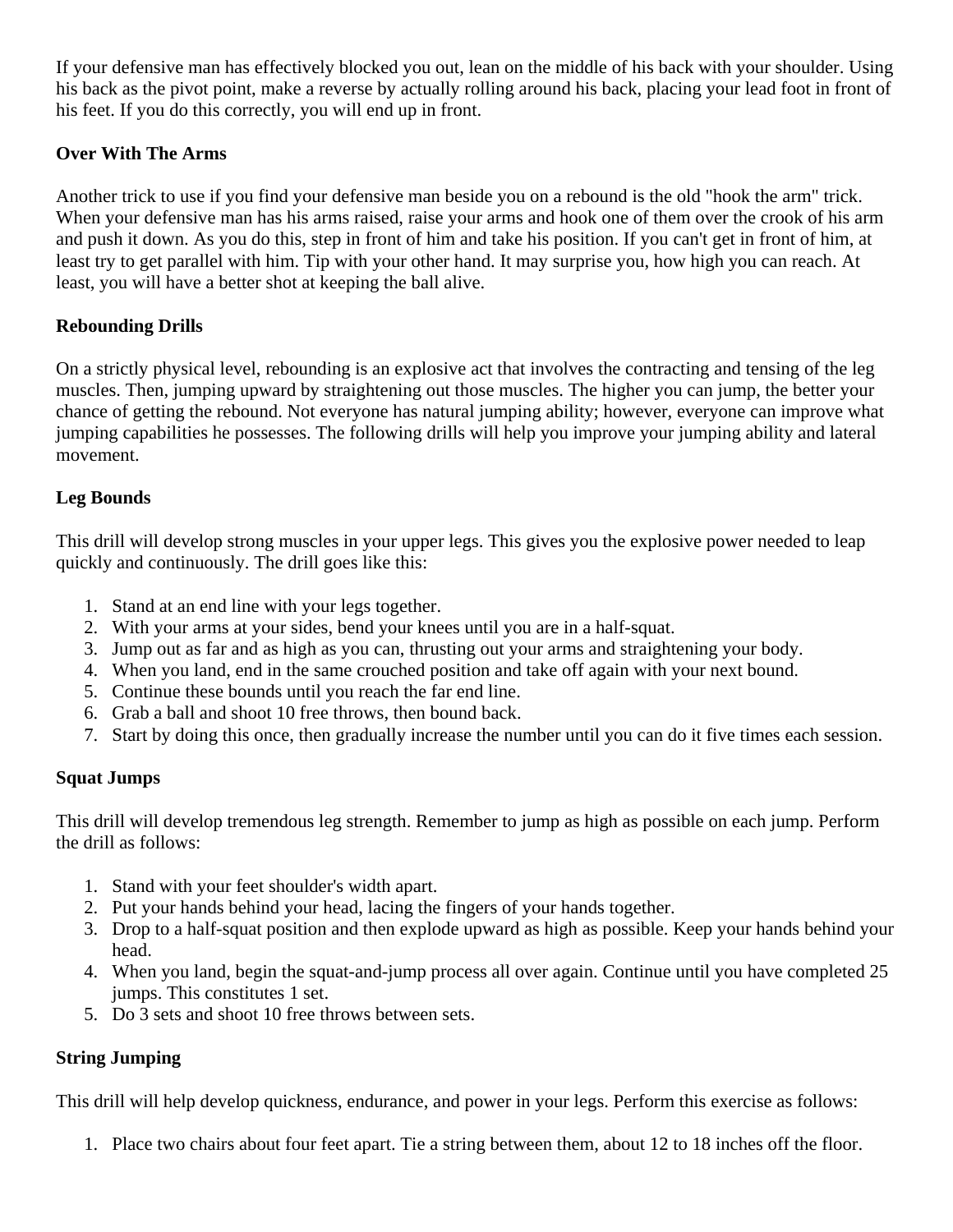If your defensive man has effectively blocked you out, lean on the middle of his back with your shoulder. Using his back as the pivot point, make a reverse by actually rolling around his back, placing your lead foot in front of his feet. If you do this correctly, you will end up in front.

### **Over With The Arms**

Another trick to use if you find your defensive man beside you on a rebound is the old "hook the arm" trick. When your defensive man has his arms raised, raise your arms and hook one of them over the crook of his arm and push it down. As you do this, step in front of him and take his position. If you can't get in front of him, at least try to get parallel with him. Tip with your other hand. It may surprise you, how high you can reach. At least, you will have a better shot at keeping the ball alive.

## **Rebounding Drills**

On a strictly physical level, rebounding is an explosive act that involves the contracting and tensing of the leg muscles. Then, jumping upward by straightening out those muscles. The higher you can jump, the better your chance of getting the rebound. Not everyone has natural jumping ability; however, everyone can improve what jumping capabilities he possesses. The following drills will help you improve your jumping ability and lateral movement.

#### **Leg Bounds**

This drill will develop strong muscles in your upper legs. This gives you the explosive power needed to leap quickly and continuously. The drill goes like this:

- 1. Stand at an end line with your legs together.
- 2. With your arms at your sides, bend your knees until you are in a half-squat.
- 3. Jump out as far and as high as you can, thrusting out your arms and straightening your body.
- 4. When you land, end in the same crouched position and take off again with your next bound.
- 5. Continue these bounds until you reach the far end line.
- 6. Grab a ball and shoot 10 free throws, then bound back.
- 7. Start by doing this once, then gradually increase the number until you can do it five times each session.

## **Squat Jumps**

This drill will develop tremendous leg strength. Remember to jump as high as possible on each jump. Perform the drill as follows:

- 1. Stand with your feet shoulder's width apart.
- 2. Put your hands behind your head, lacing the fingers of your hands together.
- 3. Drop to a half-squat position and then explode upward as high as possible. Keep your hands behind your head.
- 4. When you land, begin the squat-and-jump process all over again. Continue until you have completed 25 jumps. This constitutes 1 set.
- 5. Do 3 sets and shoot 10 free throws between sets.

## **String Jumping**

This drill will help develop quickness, endurance, and power in your legs. Perform this exercise as follows:

1. Place two chairs about four feet apart. Tie a string between them, about 12 to 18 inches off the floor.